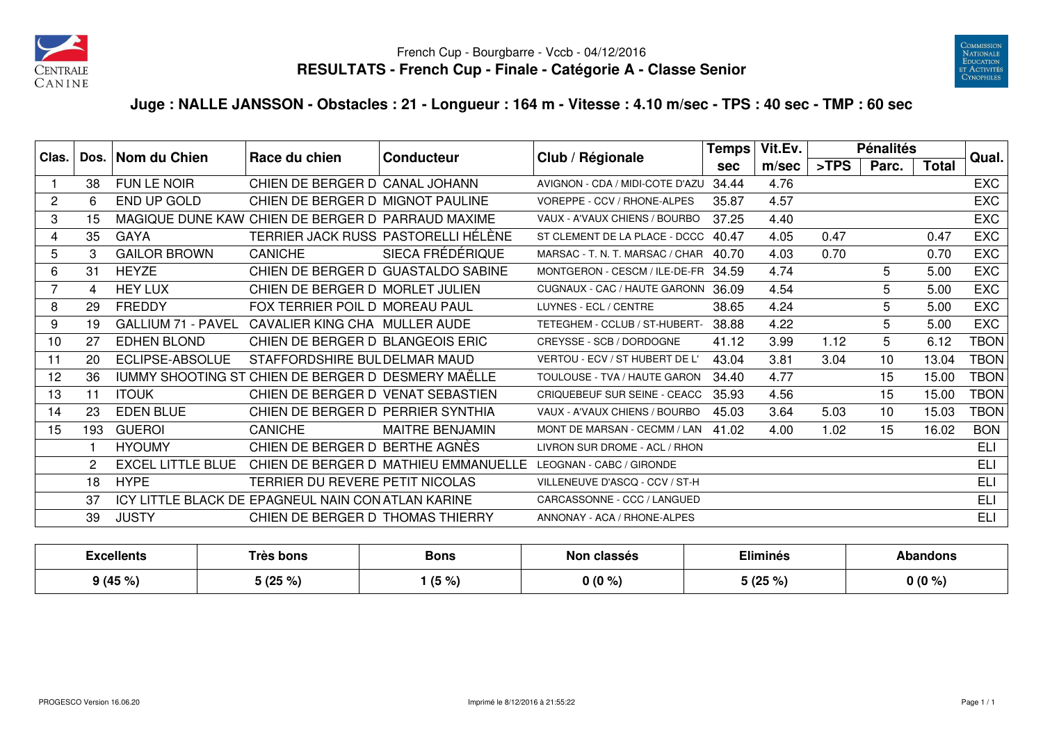



## **Juge : NALLE JANSSON - Obstacles : 21 - Longueur : 164 m - Vitesse : 4.10 m/sec - TPS : 40 sec - TMP : 60 sec**

| Clas.          |     | Dos.   Nom du Chien       | Race du chien                                      | <b>Conducteur</b>                    | Club / Régionale                    | <b>Temps</b> | Vit.Ev. |         | <b>Pénalités</b> |              | Qual.       |
|----------------|-----|---------------------------|----------------------------------------------------|--------------------------------------|-------------------------------------|--------------|---------|---------|------------------|--------------|-------------|
|                |     |                           |                                                    |                                      |                                     | <b>sec</b>   | m/sec   | $>$ TPS | Parc.            | <b>Total</b> |             |
|                | 38  | FUN LE NOIR               | CHIEN DE BERGER D CANAL JOHANN                     |                                      | AVIGNON - CDA / MIDI-COTE D'AZU     | 34.44        | 4.76    |         |                  |              | EXC         |
| $\overline{c}$ | 6   | END UP GOLD               | CHIEN DE BERGER D MIGNOT PAULINE                   |                                      | VOREPPE - CCV / RHONE-ALPES         | 35.87        | 4.57    |         |                  |              | <b>EXC</b>  |
| 3              | 15  |                           | MAGIQUE DUNE KAW CHIEN DE BERGER D PARRAUD MAXIME  |                                      | VAUX - A'VAUX CHIENS / BOURBO       | 37.25        | 4.40    |         |                  |              | <b>EXC</b>  |
| 4              | 35  | <b>GAYA</b>               |                                                    | TERRIER JACK RUSS PASTORELLI HÉLÈNE  | ST CLEMENT DE LA PLACE - DCCC       | 40.47        | 4.05    | 0.47    |                  | 0.47         | <b>EXC</b>  |
| 5              | 3   | <b>GAILOR BROWN</b>       | <b>CANICHE</b>                                     | SIECA FRÉDÉRIQUE                     | MARSAC - T. N. T. MARSAC / CHAR     | 40.70        | 4.03    | 0.70    |                  | 0.70         | <b>EXC</b>  |
| 6              | 31  | <b>HEYZE</b>              |                                                    | CHIEN DE BERGER D GUASTALDO SABINE   | MONTGERON - CESCM / ILE-DE-FR 34.59 |              | 4.74    |         | 5                | 5.00         | <b>EXC</b>  |
| 7              | 4   | <b>HEY LUX</b>            | CHIEN DE BERGER D MORLET JULIEN                    |                                      | CUGNAUX - CAC / HAUTE GARONN        | 36.09        | 4.54    |         | 5                | 5.00         | <b>EXC</b>  |
| 8              | 29  | FREDDY                    | FOX TERRIER POIL D MOREAU PAUL                     |                                      | LUYNES - ECL / CENTRE               | 38.65        | 4.24    |         | 5                | 5.00         | <b>EXC</b>  |
| 9              | 19  | <b>GALLIUM 71 - PAVEL</b> | CAVALIER KING CHA MULLER AUDE                      |                                      | TETEGHEM - CCLUB / ST-HUBERT-       | 38.88        | 4.22    |         | 5                | 5.00         | <b>EXC</b>  |
| 10             | 27  | <b>EDHEN BLOND</b>        | CHIEN DE BERGER D BLANGEOIS ERIC                   |                                      | CREYSSE - SCB / DORDOGNE            | 41.12        | 3.99    | 1.12    | 5                | 6.12         | <b>TBON</b> |
| 11             | 20  | ECLIPSE-ABSOLUE           | STAFFORDSHIRE BULDELMAR MAUD                       |                                      | VERTOU - ECV / ST HUBERT DE L'      | 43.04        | 3.81    | 3.04    | 10               | 13.04        | <b>TBON</b> |
| 12             | 36  |                           | IUMMY SHOOTING ST CHIEN DE BERGER D DESMERY MAËLLE |                                      | TOULOUSE - TVA / HAUTE GARON        | 34.40        | 4.77    |         | 15               | 15.00        | <b>TBON</b> |
| 13             | 11  | <b>ITOUK</b>              | CHIEN DE BERGER D VENAT SEBASTIEN                  |                                      | CRIQUEBEUF SUR SEINE - CEACC        | 35.93        | 4.56    |         | 15               | 15.00        | <b>TBON</b> |
| 14             | 23  | <b>EDEN BLUE</b>          | CHIEN DE BERGER D PERRIER SYNTHIA                  |                                      | VAUX - A'VAUX CHIENS / BOURBO       | 45.03        | 3.64    | 5.03    | 10               | 15.03        | <b>TBON</b> |
| 15             | 193 | <b>GUEROI</b>             | <b>CANICHE</b>                                     | MAITRE BENJAMIN                      | MONT DE MARSAN - CECMM / LAN        | 41.02        | 4.00    | 1.02    | 15               | 16.02        | <b>BON</b>  |
|                |     | <b>HYOUMY</b>             | CHIEN DE BERGER D BERTHE AGNÈS                     |                                      | LIVRON SUR DROME - ACL / RHON       |              |         |         |                  |              | ELI         |
|                | 2   | <b>EXCEL LITTLE BLUE</b>  |                                                    | CHIEN DE BERGER D MATHIEU EMMANUELLE | LEOGNAN - CABC / GIRONDE            |              |         |         |                  |              | <b>ELI</b>  |
|                | 18  | <b>HYPE</b>               | TERRIER DU REVERE PETIT NICOLAS                    |                                      | VILLENEUVE D'ASCQ - CCV / ST-H      |              |         |         |                  |              | <b>ELI</b>  |
|                | 37  |                           | ICY LITTLE BLACK DE EPAGNEUL NAIN CON ATLAN KARINE |                                      | CARCASSONNE - CCC / LANGUED         |              |         |         |                  |              | <b>ELI</b>  |
|                | 39  | <b>JUSTY</b>              | CHIEN DE BERGER D THOMAS THIERRY                   |                                      | ANNONAY - ACA / RHONE-ALPES         |              |         |         |                  |              | <b>ELI</b>  |

| Excellents | Très bons        | <b>Bons</b> | Non classes |                                | Abandons |  |
|------------|------------------|-------------|-------------|--------------------------------|----------|--|
| 9(45%)     | E INE OF<br>ט גע | $(5\% )$    | $0(0\%)$    | $: I \cap E$ of<br>ີ 1 ( 40  . | $0(0\%)$ |  |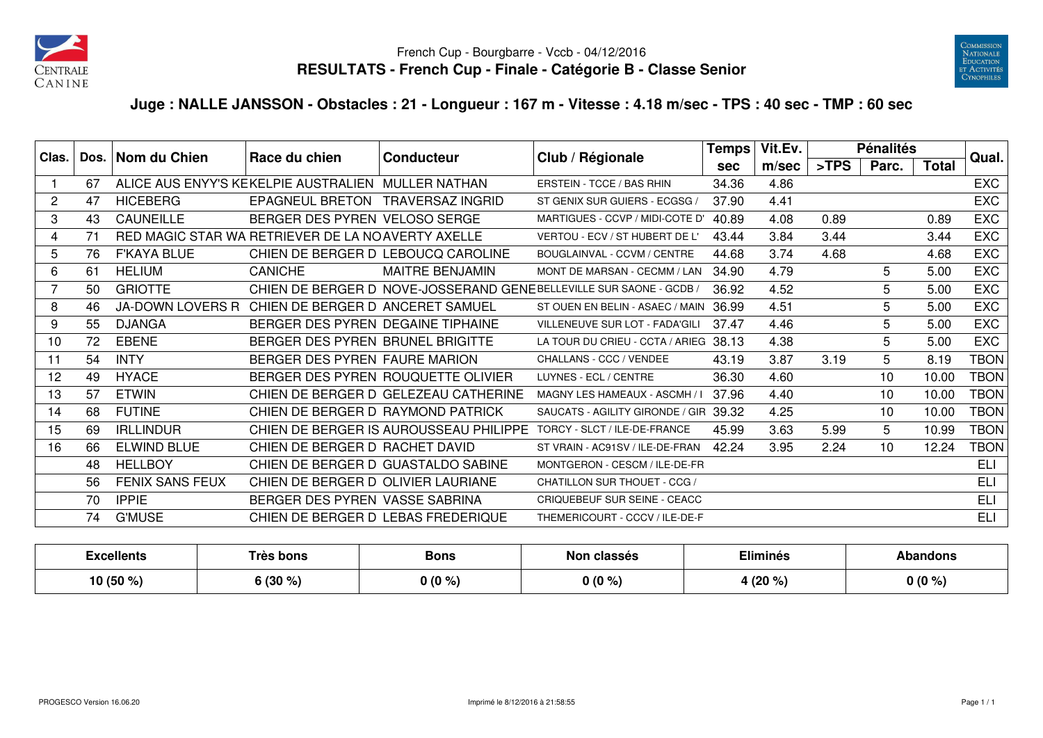



## **Juge : NALLE JANSSON - Obstacles : 21 - Longueur : 167 m - Vitesse : 4.18 m/sec - TPS : 40 sec - TMP : 60 sec**

| Clas.        |    | Dos.   Nom du Chien    | Race du chien                                      | <b>Conducteur</b>                      | Club / Régionale                                                   | Temps      | Vit.Ev. |         | <b>Pénalités</b> |              | Qual.       |
|--------------|----|------------------------|----------------------------------------------------|----------------------------------------|--------------------------------------------------------------------|------------|---------|---------|------------------|--------------|-------------|
|              |    |                        |                                                    |                                        |                                                                    | <b>sec</b> | m/sec   | $>$ TPS | Parc.            | <b>Total</b> |             |
|              | 67 |                        | ALICE AUS ENYY'S KEKELPIE AUSTRALIEN MULLER NATHAN |                                        | ERSTEIN - TCCE / BAS RHIN                                          | 34.36      | 4.86    |         |                  |              | <b>EXC</b>  |
| $\mathbf{2}$ | 47 | <b>HICEBERG</b>        | EPAGNEUL BRETON TRAVERSAZ INGRID                   |                                        | ST GENIX SUR GUIERS - ECGSG /                                      | 37.90      | 4.41    |         |                  |              | <b>EXC</b>  |
| 3            | 43 | CAUNEILLE              | BERGER DES PYREN VELOSO SERGE                      |                                        | MARTIGUES - CCVP / MIDI-COTE D'                                    | 40.89      | 4.08    | 0.89    |                  | 0.89         | <b>EXC</b>  |
| 4            | 71 |                        | RED MAGIC STAR WA RETRIEVER DE LA NOAVERTY AXELLE  |                                        | VERTOU - ECV / ST HUBERT DE L'                                     | 43.44      | 3.84    | 3.44    |                  | 3.44         | EXC         |
| 5            | 76 | <b>F'KAYA BLUE</b>     |                                                    | CHIEN DE BERGER D LEBOUCQ CAROLINE     | BOUGLAINVAL - CCVM / CENTRE                                        | 44.68      | 3.74    | 4.68    |                  | 4.68         | <b>EXC</b>  |
| 6            | 61 | <b>HELIUM</b>          | <b>CANICHE</b>                                     | <b>MAITRE BENJAMIN</b>                 | MONT DE MARSAN - CECMM / LAN                                       | 34.90      | 4.79    |         | 5                | 5.00         | <b>EXC</b>  |
|              | 50 | <b>GRIOTTE</b>         |                                                    |                                        | CHIEN DE BERGER D NOVE-JOSSERAND GENEBELLEVILLE SUR SAONE - GCDB / | 36.92      | 4.52    |         | 5                | 5.00         | <b>EXC</b>  |
| 8            | 46 |                        | JA-DOWN LOVERS R CHIEN DE BERGER D ANCERET SAMUEL  |                                        | ST OUEN EN BELIN - ASAEC / MAIN                                    | 36.99      | 4.51    |         | 5                | 5.00         | <b>EXC</b>  |
| 9            | 55 | <b>DJANGA</b>          | BERGER DES PYREN DEGAINE TIPHAINE                  |                                        | VILLENEUVE SUR LOT - FADA'GILI                                     | 37.47      | 4.46    |         | 5                | 5.00         | <b>EXC</b>  |
| 10           | 72 | <b>EBENE</b>           | BERGER DES PYREN BRUNEL BRIGITTE                   |                                        | LA TOUR DU CRIEU - CCTA / ARIEG 38.13                              |            | 4.38    |         | 5                | 5.00         | <b>EXC</b>  |
| 11           | 54 | <b>INTY</b>            | BERGER DES PYREN FAURE MARION                      |                                        | CHALLANS - CCC / VENDEE                                            | 43.19      | 3.87    | 3.19    | 5                | 8.19         | TBON        |
| 12           | 49 | <b>HYACE</b>           |                                                    | BERGER DES PYREN ROUQUETTE OLIVIER     | LUYNES - ECL / CENTRE                                              | 36.30      | 4.60    |         | 10               | 10.00        | <b>TBON</b> |
| 13           | 57 | <b>ETWIN</b>           |                                                    | CHIEN DE BERGER D GELEZEAU CATHERINE   | MAGNY LES HAMEAUX - ASCMH / I                                      | 37.96      | 4.40    |         | 10               | 10.00        | <b>TBON</b> |
| 14           | 68 | <b>FUTINE</b>          | CHIEN DE BERGER D RAYMOND PATRICK                  |                                        | SAUCATS - AGILITY GIRONDE / GIR                                    | 39.32      | 4.25    |         | 10               | 10.00        | <b>TBON</b> |
| 15           | 69 | <b>IRLLINDUR</b>       |                                                    | CHIEN DE BERGER IS AUROUSSEAU PHILIPPE | TORCY - SLCT / ILE-DE-FRANCE                                       | 45.99      | 3.63    | 5.99    | 5                | 10.99        | <b>TBON</b> |
| 16           | 66 | <b>ELWIND BLUE</b>     | CHIEN DE BERGER D RACHET DAVID                     |                                        | ST VRAIN - AC91SV / ILE-DE-FRAN                                    | 42.24      | 3.95    | 2.24    | 10               | 12.24        | <b>TBON</b> |
|              | 48 | <b>HELLBOY</b>         |                                                    | CHIEN DE BERGER D GUASTALDO SABINE     | MONTGERON - CESCM / ILE-DE-FR                                      |            |         |         |                  |              | ELI         |
|              | 56 | <b>FENIX SANS FEUX</b> | CHIEN DE BERGER D OLIVIER LAURIANE                 |                                        | CHATILLON SUR THOUET - CCG /                                       |            |         |         |                  |              | <b>ELI</b>  |
|              | 70 | <b>IPPIE</b>           | BERGER DES PYREN VASSE SABRINA                     |                                        | <b>CRIQUEBEUF SUR SEINE - CEACC</b>                                |            |         |         |                  |              | ELI         |
|              | 74 | <b>G'MUSE</b>          |                                                    | CHIEN DE BERGER D LEBAS FREDERIQUE     | THEMERICOURT - CCCV / ILE-DE-F                                     |            |         |         |                  |              | <b>ELI</b>  |

| Excellents  | Très bons          | <b>Bons</b> | <b>classés</b><br>Nor | <b>Eliminés</b> | anaons   |
|-------------|--------------------|-------------|-----------------------|-----------------|----------|
| 10 $(50\%)$ | .1900<br>) (JU 70) | $0(0\%)$    | 0(0%<br>70            | (20 %)          | $0(0\%)$ |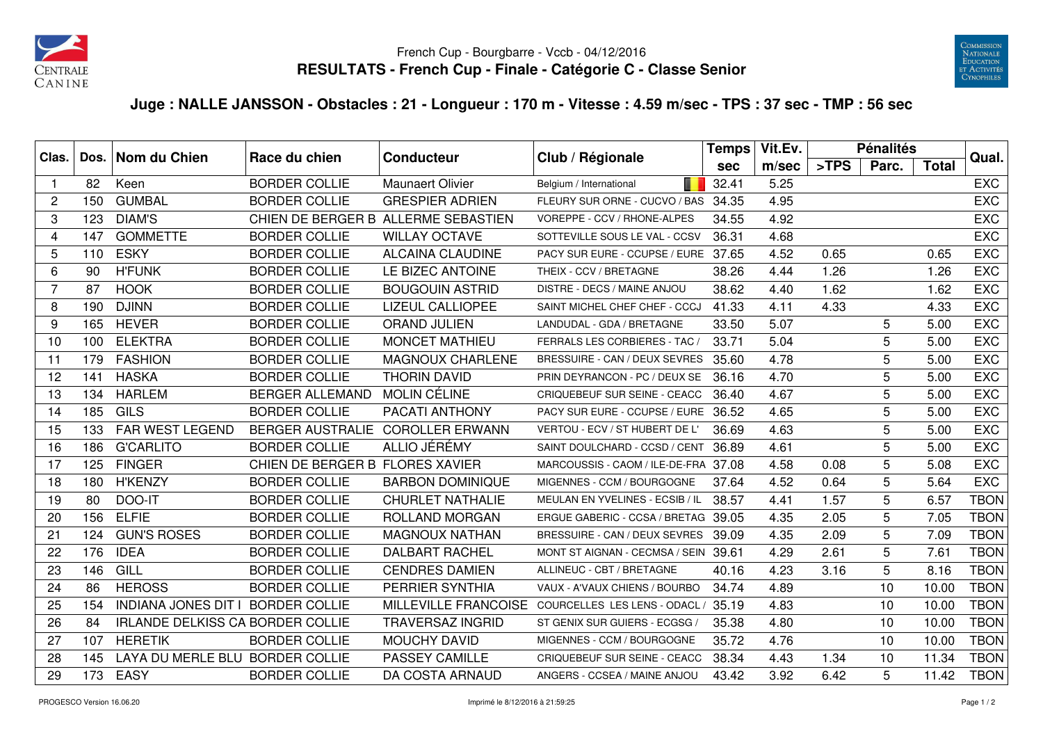



## **Juge : NALLE JANSSON - Obstacles : 21 - Longueur : 170 m - Vitesse : 4.59 m/sec - TPS : 37 sec - TMP : 56 sec**

| Clas.          |     | Dos. Nom du Chien                       | Race du chien                   | <b>Conducteur</b>                   | Club / Régionale                     | <b>Temps</b> | Vit.Ev. |      | <b>Pénalités</b> |              | Qual.       |
|----------------|-----|-----------------------------------------|---------------------------------|-------------------------------------|--------------------------------------|--------------|---------|------|------------------|--------------|-------------|
|                |     |                                         |                                 |                                     |                                      | sec          | m/sec   | >TPS | Parc.            | <b>Total</b> |             |
| $\mathbf 1$    | 82  | Keen                                    | <b>BORDER COLLIE</b>            | <b>Maunaert Olivier</b>             | Belgium / International              | 32.41        | 5.25    |      |                  |              | <b>EXC</b>  |
| 2              | 150 | <b>GUMBAL</b>                           | <b>BORDER COLLIE</b>            | <b>GRESPIER ADRIEN</b>              | FLEURY SUR ORNE - CUCVO / BAS        | 34.35        | 4.95    |      |                  |              | <b>EXC</b>  |
| 3              | 123 | <b>DIAM'S</b>                           |                                 | CHIEN DE BERGER B ALLERME SEBASTIEN | VOREPPE - CCV / RHONE-ALPES          | 34.55        | 4.92    |      |                  |              | <b>EXC</b>  |
| $\overline{4}$ | 147 | <b>GOMMETTE</b>                         | <b>BORDER COLLIE</b>            | <b>WILLAY OCTAVE</b>                | SOTTEVILLE SOUS LE VAL - CCSV        | 36.31        | 4.68    |      |                  |              | <b>EXC</b>  |
| 5              | 110 | <b>ESKY</b>                             | <b>BORDER COLLIE</b>            | <b>ALCAINA CLAUDINE</b>             | PACY SUR EURE - CCUPSE / EURE        | 37.65        | 4.52    | 0.65 |                  | 0.65         | <b>EXC</b>  |
| 6              | 90  | <b>H'FUNK</b>                           | <b>BORDER COLLIE</b>            | LE BIZEC ANTOINE                    | THEIX - CCV / BRETAGNE               | 38.26        | 4.44    | 1.26 |                  | 1.26         | <b>EXC</b>  |
| 7              | 87  | <b>HOOK</b>                             | <b>BORDER COLLIE</b>            | <b>BOUGOUIN ASTRID</b>              | DISTRE - DECS / MAINE ANJOU          | 38.62        | 4.40    | 1.62 |                  | 1.62         | <b>EXC</b>  |
| 8              | 190 | <b>DJINN</b>                            | <b>BORDER COLLIE</b>            | <b>LIZEUL CALLIOPEE</b>             | SAINT MICHEL CHEF CHEF - CCCJ        | 41.33        | 4.11    | 4.33 |                  | 4.33         | <b>EXC</b>  |
| 9              | 165 | <b>HEVER</b>                            | <b>BORDER COLLIE</b>            | <b>ORAND JULIEN</b>                 | LANDUDAL - GDA / BRETAGNE            | 33.50        | 5.07    |      | 5                | 5.00         | <b>EXC</b>  |
| 10             | 100 | <b>ELEKTRA</b>                          | <b>BORDER COLLIE</b>            | <b>MONCET MATHIEU</b>               | FERRALS LES CORBIERES - TAC          | 33.71        | 5.04    |      | 5                | 5.00         | <b>EXC</b>  |
| 11             | 179 | <b>FASHION</b>                          | <b>BORDER COLLIE</b>            | <b>MAGNOUX CHARLENE</b>             | BRESSUIRE - CAN / DEUX SEVRES        | 35.60        | 4.78    |      | 5                | 5.00         | <b>EXC</b>  |
| 12             | 141 | <b>HASKA</b>                            | <b>BORDER COLLIE</b>            | <b>THORIN DAVID</b>                 | PRIN DEYRANCON - PC / DEUX SE        | 36.16        | 4.70    |      | 5                | 5.00         | <b>EXC</b>  |
| 13             | 134 | <b>HARLEM</b>                           | <b>BERGER ALLEMAND</b>          | <b>MOLIN CÉLINE</b>                 | CRIQUEBEUF SUR SEINE - CEACC         | 36.40        | 4.67    |      | 5                | 5.00         | <b>EXC</b>  |
| 14             | 185 | GILS                                    | <b>BORDER COLLIE</b>            | PACATI ANTHONY                      | PACY SUR EURE - CCUPSE / EURE 36.52  |              | 4.65    |      | 5                | 5.00         | <b>EXC</b>  |
| 15             | 133 | FAR WEST LEGEND                         | <b>BERGER AUSTRALIE</b>         | <b>COROLLER ERWANN</b>              | VERTOU - ECV / ST HUBERT DE L'       | 36.69        | 4.63    |      | 5                | 5.00         | <b>EXC</b>  |
| 16             | 186 | <b>G'CARLITO</b>                        | <b>BORDER COLLIE</b>            | ALLIO JÉRÉMY                        | SAINT DOULCHARD - CCSD / CENT        | 36.89        | 4.61    |      | 5                | 5.00         | <b>EXC</b>  |
| 17             | 125 | <b>FINGER</b>                           | CHIEN DE BERGER B FLORES XAVIER |                                     | MARCOUSSIS - CAOM / ILE-DE-FRA 37.08 |              | 4.58    | 0.08 | 5                | 5.08         | <b>EXC</b>  |
| 18             | 180 | <b>H'KENZY</b>                          | <b>BORDER COLLIE</b>            | <b>BARBON DOMINIQUE</b>             | MIGENNES - CCM / BOURGOGNE           | 37.64        | 4.52    | 0.64 | 5                | 5.64         | <b>EXC</b>  |
| 19             | 80  | DOO-IT                                  | <b>BORDER COLLIE</b>            | <b>CHURLET NATHALIE</b>             | MEULAN EN YVELINES - ECSIB / IL      | 38.57        | 4.41    | 1.57 | 5                | 6.57         | <b>TBON</b> |
| 20             | 156 | <b>ELFIE</b>                            | <b>BORDER COLLIE</b>            | ROLLAND MORGAN                      | ERGUE GABERIC - CCSA / BRETAG 39.05  |              | 4.35    | 2.05 | 5                | 7.05         | <b>TBON</b> |
| 21             | 124 | <b>GUN'S ROSES</b>                      | <b>BORDER COLLIE</b>            | <b>MAGNOUX NATHAN</b>               | BRESSUIRE - CAN / DEUX SEVRES        | 39.09        | 4.35    | 2.09 | 5                | 7.09         | <b>TBON</b> |
| 22             | 176 | <b>IDEA</b>                             | <b>BORDER COLLIE</b>            | <b>DALBART RACHEL</b>               | MONT ST AIGNAN - CECMSA / SEIN 39.61 |              | 4.29    | 2.61 | 5                | 7.61         | <b>TBON</b> |
| 23             | 146 | GILL                                    | <b>BORDER COLLIE</b>            | <b>CENDRES DAMIEN</b>               | ALLINEUC - CBT / BRETAGNE            | 40.16        | 4.23    | 3.16 | 5                | 8.16         | <b>TBON</b> |
| 24             | 86  | <b>HEROSS</b>                           | <b>BORDER COLLIE</b>            | <b>PERRIER SYNTHIA</b>              | VAUX - A'VAUX CHIENS / BOURBO        | 34.74        | 4.89    |      | 10               | 10.00        | <b>TBON</b> |
| 25             | 154 | INDIANA JONES DIT I BORDER COLLIE       |                                 | MILLEVILLE FRANCOISE                | COURCELLES LES LENS - ODACL /        | 35.19        | 4.83    |      | 10               | 10.00        | <b>TBON</b> |
| 26             | 84  | <b>IRLANDE DELKISS CA BORDER COLLIE</b> |                                 | <b>TRAVERSAZ INGRID</b>             | ST GENIX SUR GUIERS - ECGSG,         | 35.38        | 4.80    |      | 10               | 10.00        | <b>TBON</b> |
| 27             | 107 | <b>HERETIK</b>                          | <b>BORDER COLLIE</b>            | <b>MOUCHY DAVID</b>                 | MIGENNES - CCM / BOURGOGNE           | 35.72        | 4.76    |      | 10               | 10.00        | <b>TBON</b> |
| 28             | 145 | LAYA DU MERLE BLU BORDER COLLIE         |                                 | PASSEY CAMILLE                      | CRIQUEBEUF SUR SEINE - CEACC         | 38.34        | 4.43    | 1.34 | 10               | 11.34        | <b>TBON</b> |
| 29             | 173 | <b>EASY</b>                             | <b>BORDER COLLIE</b>            | DA COSTA ARNAUD                     | ANGERS - CCSEA / MAINE ANJOU         | 43.42        | 3.92    | 6.42 | 5                | 11.42        | <b>TBON</b> |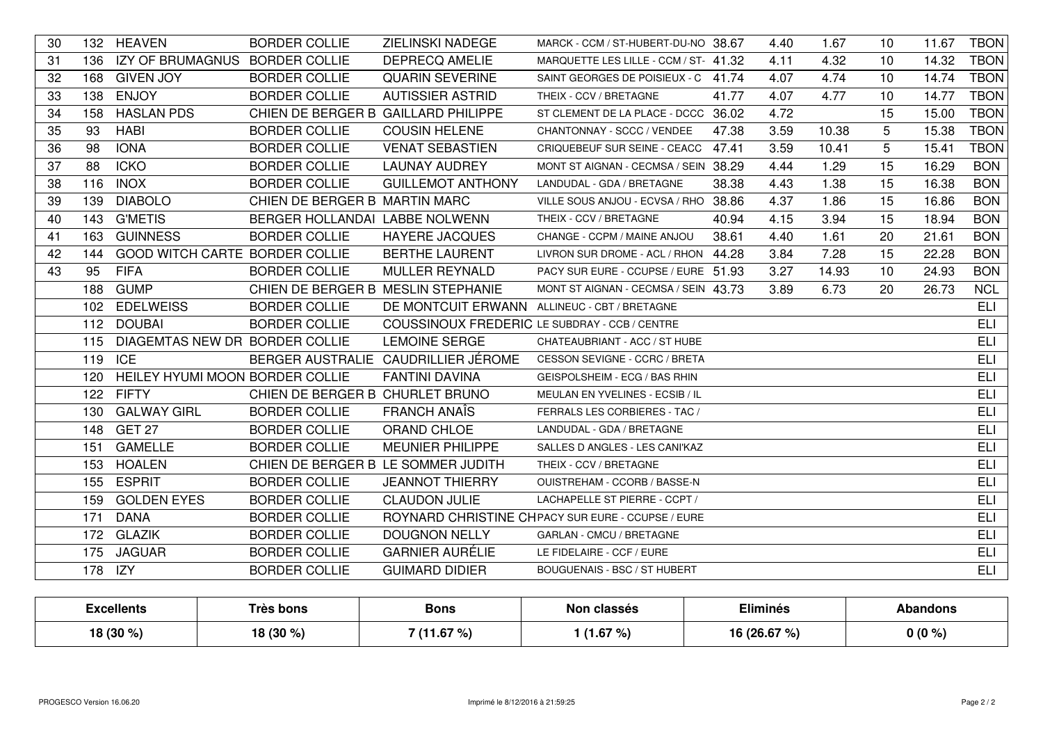| 30 |         | 132 HEAVEN                         | <b>BORDER COLLIE</b>                | ZIELINSKI NADEGE                                     | MARCK - CCM / ST-HUBERT-DU-NO 38.67               |       | 4.40 | 1.67  | 10 | 11.67 | <b>TBON</b> |
|----|---------|------------------------------------|-------------------------------------|------------------------------------------------------|---------------------------------------------------|-------|------|-------|----|-------|-------------|
| 31 |         | 136 IZY OF BRUMAGNUS BORDER COLLIE |                                     | <b>DEPRECQ AMELIE</b>                                | MARQUETTE LES LILLE - CCM / ST- 41.32             |       | 4.11 | 4.32  | 10 | 14.32 | <b>TBON</b> |
| 32 |         | 168 GIVEN JOY                      | <b>BORDER COLLIE</b>                | <b>QUARIN SEVERINE</b>                               | SAINT GEORGES DE POISIEUX - C 41.74               |       | 4.07 | 4.74  | 10 | 14.74 | <b>TBON</b> |
| 33 |         | 138 ENJOY                          | <b>BORDER COLLIE</b>                | <b>AUTISSIER ASTRID</b>                              | THEIX - CCV / BRETAGNE                            | 41.77 | 4.07 | 4.77  | 10 | 14.77 | <b>TBON</b> |
| 34 |         | 158 HASLAN PDS                     | CHIEN DE BERGER B GAILLARD PHILIPPE |                                                      | ST CLEMENT DE LA PLACE - DCCC 36.02               |       | 4.72 |       | 15 | 15.00 | <b>TBON</b> |
| 35 | 93      | <b>HABI</b>                        | <b>BORDER COLLIE</b>                | <b>COUSIN HELENE</b>                                 | CHANTONNAY - SCCC / VENDEE                        | 47.38 | 3.59 | 10.38 | 5  | 15.38 | <b>TBON</b> |
| 36 | 98      | <b>IONA</b>                        | <b>BORDER COLLIE</b>                | <b>VENAT SEBASTIEN</b>                               | CRIQUEBEUF SUR SEINE - CEACC 47.41                |       | 3.59 | 10.41 | 5  | 15.41 | <b>TBON</b> |
| 37 | 88      | <b>ICKO</b>                        | <b>BORDER COLLIE</b>                | <b>LAUNAY AUDREY</b>                                 | MONT ST AIGNAN - CECMSA / SEIN 38.29              |       | 4.44 | 1.29  | 15 | 16.29 | <b>BON</b>  |
| 38 | 116     | <b>INOX</b>                        | <b>BORDER COLLIE</b>                | <b>GUILLEMOT ANTHONY</b>                             | LANDUDAL - GDA / BRETAGNE                         | 38.38 | 4.43 | 1.38  | 15 | 16.38 | <b>BON</b>  |
| 39 | 139     | <b>DIABOLO</b>                     | CHIEN DE BERGER B MARTIN MARC       |                                                      | VILLE SOUS ANJOU - ECVSA / RHO 38.86              |       | 4.37 | 1.86  | 15 | 16.86 | <b>BON</b>  |
| 40 |         | 143 G'METIS                        | BERGER HOLLANDAI LABBE NOLWENN      |                                                      | THEIX - CCV / BRETAGNE                            | 40.94 | 4.15 | 3.94  | 15 | 18.94 | <b>BON</b>  |
| 41 | 163     | <b>GUINNESS</b>                    | <b>BORDER COLLIE</b>                | <b>HAYERE JACQUES</b>                                | CHANGE - CCPM / MAINE ANJOU                       | 38.61 | 4.40 | 1.61  | 20 | 21.61 | <b>BON</b>  |
| 42 | 144     | GOOD WITCH CARTE BORDER COLLIE     |                                     | <b>BERTHE LAURENT</b>                                | LIVRON SUR DROME - ACL / RHON 44.28               |       | 3.84 | 7.28  | 15 | 22.28 | <b>BON</b>  |
| 43 | 95      | <b>FIFA</b>                        | <b>BORDER COLLIE</b>                | <b>MULLER REYNALD</b>                                | PACY SUR EURE - CCUPSE / EURE 51.93               |       | 3.27 | 14.93 | 10 | 24.93 | <b>BON</b>  |
|    |         | 188 GUMP                           | CHIEN DE BERGER B MESLIN STEPHANIE  |                                                      | MONT ST AIGNAN - CECMSA / SEIN 43.73              |       | 3.89 | 6.73  | 20 | 26.73 | <b>NCL</b>  |
|    |         | 102 EDELWEISS                      | <b>BORDER COLLIE</b>                | DE MONTCUIT ERWANN ALLINEUC - CBT / BRETAGNE         |                                                   |       |      |       |    |       | <b>ELI</b>  |
|    |         | 112 DOUBAI                         | <b>BORDER COLLIE</b>                | <b>COUSSINOUX FREDERIC LE SUBDRAY - CCB / CENTRE</b> |                                                   |       |      |       |    |       | <b>ELI</b>  |
|    | 115     | DIAGEMTAS NEW DR BORDER COLLIE     |                                     | <b>LEMOINE SERGE</b>                                 | CHATEAUBRIANT - ACC / ST HUBE                     |       |      |       |    |       | <b>ELI</b>  |
|    | 119 ICE |                                    |                                     | BERGER AUSTRALIE CAUDRILLIER JÉROME                  | CESSON SEVIGNE - CCRC / BRETA                     |       |      |       |    |       | <b>ELI</b>  |
|    | 120     | HEILEY HYUMI MOON BORDER COLLIE    |                                     | <b>FANTINI DAVINA</b>                                | GEISPOLSHEIM - ECG / BAS RHIN                     |       |      |       |    |       | <b>ELI</b>  |
|    |         | 122 FIFTY                          | CHIEN DE BERGER B CHURLET BRUNO     |                                                      | MEULAN EN YVELINES - ECSIB / IL                   |       |      |       |    |       | <b>ELI</b>  |
|    |         | 130 GALWAY GIRL                    | <b>BORDER COLLIE</b>                | <b>FRANCH ANAÎS</b>                                  | FERRALS LES CORBIERES - TAC /                     |       |      |       |    |       | <b>ELI</b>  |
|    |         | 148 GET 27                         | <b>BORDER COLLIE</b>                | ORAND CHLOE                                          | LANDUDAL - GDA / BRETAGNE                         |       |      |       |    |       | <b>ELI</b>  |
|    | 151     | <b>GAMELLE</b>                     | <b>BORDER COLLIE</b>                | <b>MEUNIER PHILIPPE</b>                              | SALLES D ANGLES - LES CANI'KAZ                    |       |      |       |    |       | <b>ELI</b>  |
|    |         | 153 HOALEN                         | CHIEN DE BERGER B LE SOMMER JUDITH  |                                                      | THEIX - CCV / BRETAGNE                            |       |      |       |    |       | <b>ELI</b>  |
|    |         | 155 ESPRIT                         | <b>BORDER COLLIE</b>                | <b>JEANNOT THIERRY</b>                               | OUISTREHAM - CCORB / BASSE-N                      |       |      |       |    |       | <b>ELI</b>  |
|    |         | 159 GOLDEN EYES                    | <b>BORDER COLLIE</b>                | <b>CLAUDON JULIE</b>                                 | LACHAPELLE ST PIERRE - CCPT /                     |       |      |       |    |       | <b>ELI</b>  |
|    | 171     | <b>DANA</b>                        | <b>BORDER COLLIE</b>                |                                                      | ROYNARD CHRISTINE CHPACY SUR EURE - CCUPSE / EURE |       |      |       |    |       | <b>ELI</b>  |
|    |         | 172 GLAZIK                         | <b>BORDER COLLIE</b>                | <b>DOUGNON NELLY</b>                                 | <b>GARLAN - CMCU / BRETAGNE</b>                   |       |      |       |    |       | <b>ELI</b>  |
|    |         | 175 JAGUAR                         | <b>BORDER COLLIE</b>                | <b>GARNIER AURÉLIE</b>                               | LE FIDELAIRE - CCF / EURE                         |       |      |       |    |       | <b>ELI</b>  |
|    | 178 IZY |                                    | <b>BORDER COLLIE</b>                | <b>GUIMARD DIDIER</b>                                | BOUGUENAIS - BSC / ST HUBERT                      |       |      |       |    |       | <b>ELI</b>  |

| <b>Excellents</b> | Trės bons        | <b>Bons</b>            | classás<br>והוח<br>стаээсэ<br>ושי | Eliminés                                   | าndons   |
|-------------------|------------------|------------------------|-----------------------------------|--------------------------------------------|----------|
| 18 (30 %          | 18 (30 %<br>70 I | $57 \%$<br>- 74<br>.01 | $.1.67$ %<br>7o)                  | $\sim$ $\sim$ $\sim$ $\sim$<br>196<br>$\%$ | $0(0\%)$ |